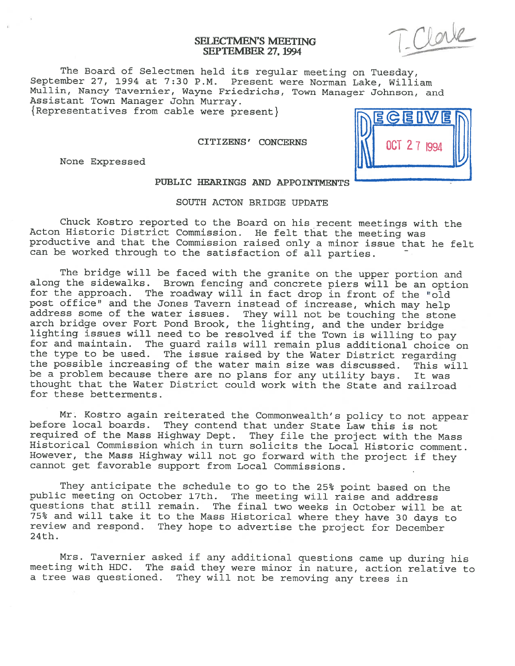# SELECTMEN'S MEETING<br>SEPTEMBER 27, 1994

The Board of Selectmen held its regular meeting on Tuesday, September 27, <sup>1994</sup> at 7:30 P.M. Present were Norman Lake, William Mullin, Nancy Tavernier, Wayne Friedrichs, Town Manager Johnson, and Assistant Town Manager John Murray.  ${Representatives from cable were present}$ 

None Expressed



# PUBLIC HEARINGS AND APPOINTMENTS

## SOUTH ACTON BRIDGE UPDATE

Chuck Kostro reported to the Board on his recent meetings with the Acton Historic District Commission. He felt that the meeting was productive and that the Commission raised only a minor issue that he felt can be worked through to the satisfaction of all parties.

The bridge will be faced with the granite on the upper portion and along the sidewalks. Brown fencing and concrete piers will be an option<br>for the approach. The roadway will in fact drop in front of the "old post office" and the Jones Tavern instead of increase, which may help address some of the water issues. They will not be touching the stone lighting issues will need to be resolved if the Town is willing to pay for and maintain. The guard rails will remain plus additional choice on the type to be used. The issue raised by the Water District regarding the possible increasing of the water main size was discussed. This will be <sup>a</sup> problem because there are no <sup>p</sup>lans for any utility bays. It was thought that the Water District could work with the State and railroad for these betterments.

Mr. Kostro again reiterated the Commonwealth's policy to not appear before local boards. They contend that under State Law this is not required of the Mass Highway Dept. They file the project with the Mass Historical Commission which in turn solicits the Local Historic comment. However, the Mass Highway will not go forward with the project if they cannot get favorable support from Local Commissions.

They anticipate the schedule to go to the 25% point based on the public meeting on October 17th. The meeting will raise and address questions that still remain. The final two weeks in October will be at<br>75% and will take it to the Mass Historical where they have 30 days to review and respond. They hope to advertise the project for December 24th.

Mrs. Tavernier asked if any additional questions came up during his meeting with HDC. The said they were minor in nature, action relative to <sup>a</sup> tree was questioned. They will not be removing any trees in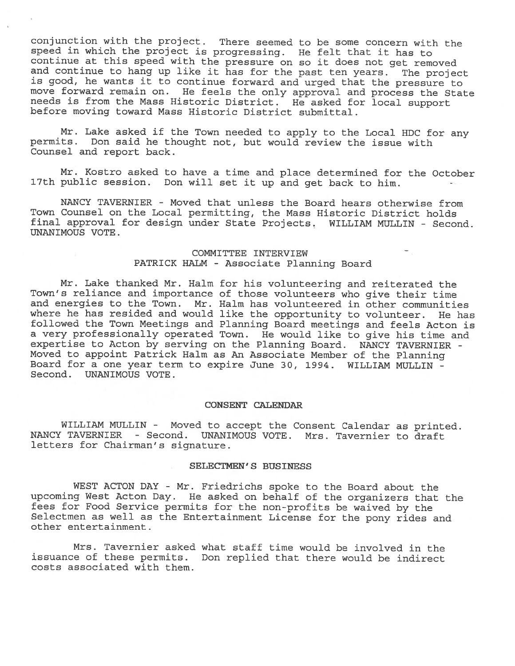conjunction with the project. There seemed to be some concern with the speed in which the project is progressing. He felt that it has to and continue to hang up like it has for the past ten years. The project is good, he wants it to continue forward and urged that the pressure to move forward remain on. He feels the only approval and process the State needs is from the Mass Historic District. He asked for local support before moving toward Mass Historic District submittal.

Mr. Lake asked if the Town needed to apply to the Local HDC for any permits. Don said he thought not, but would review the issue with Counsel and report back.

Mr. Kostro asked to have <sup>a</sup> time and <sup>p</sup>lace determined for the October 17th public session. Don will set it up and get back to him.

NANCY TAVERNIER - Moved that unless the Board hears otherwise from Town Counsel on the Local permitting, the Mass Historic District holds final approval for design under State Projects. WILLIAM MULLIN - Second. UNANIMOUS VOTE.

# COMMITTEE INTERVIEW PATRICK HALM - Associate Planning Board

Mr. Lake thanked Mr. Halm for his volunteering and reiterated the Town's reliance and importance of those volunteers who <sup>g</sup>ive their time and energies to the Town. Mr. Halm has volunteered in other communities where he has resided and would like the opportunity to volunteer. He has followed the Town Meetings and Planning Board meetings and feels Acton is <sup>a</sup> very professionally operated Town. He would like to <sup>g</sup>ive his time and expertise to Acton by serving on the Planning Board. NANCY TAVERNIER - Moved to appoint Patrick Halm as An Associate Member of the Planning Board for <sup>a</sup> one year term to expire June 30, 1994. WILLIAM MULLIN - Second. UNANIMOUS VOTE.

## CONSENT CALENDAR

WILLIAM MULLIN - Moved to accept the Consent Calendar as printed. NANCY TAVERNIER - Second. UNANIMOUS VOTE. Mrs. Tavernier to draft letters for Chairman's signature.

## SELECTMEN'S BUSINESS

WEST ACTON DAY - Mr. Friedrichs spoke to the Board about the upcoming West Acton Day. He asked on behalf of the organizers that the fees for Food Service permits for the non-profits be waived by the Selectmen as well as the Entertainment License for the pony rides and other entertainment.

Mrs. Tavernier asked what staff time would be involved in the issuance of these permits. Don replied that there would be indirect costs associated with them.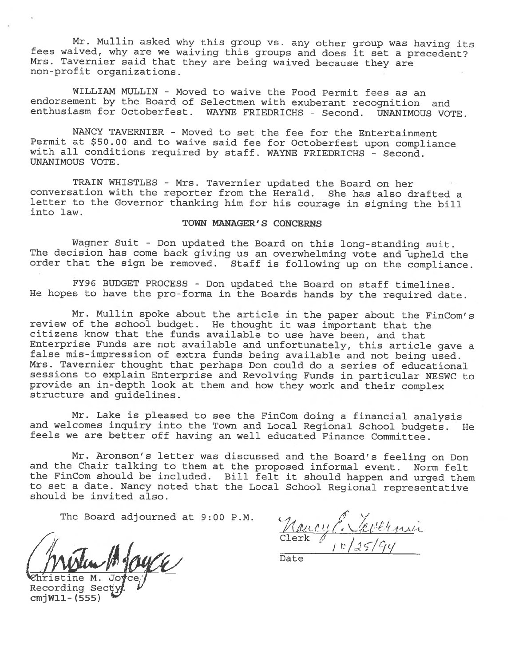Mr. Mullin asked why this group vs. any other group was having its fees waived, why are we waiving this groups and does it set <sup>a</sup> precedent? Mrs. Tavernier said that they are being waived because they are non-profit organizations.

WILLIAM MULLIN - Moved to waive the Food Permit fees as an endorsement by the Board of Selectmen with exuberant recognition and enthusiasm for Octoberfest. WAYNE FRIEDRICHS - Second. UNANIMOUS VOTE.

NANCY TAVERNIER - Moved to set the fee for the Entertainment Permit at \$50.00 and to waive said fee for Octoberfest upon compliance with all conditions required by staff. WAYNE FRIEDRICHS - Second. UNANIMOUS VOTE.

TRAIN WHISTLES - Mrs. Tavernier updated the Board on her conversation with the reporter from the Herald. She has also drafted <sup>a</sup> letter to the Governor thanking him for his courage in signing the bill into law.

# TOWN MANAGER' S CONCERNS

Wagner Suit - Don updated the Board on this long-standing suit. The decision has come back <sup>g</sup>iving us an overwhelming vote and upheld the order that the sign be removed. Staff is following up on the compliance.

FY96 BUDGET PROCESS - Don updated the Board on staff timelines. He hopes to have the pro-forma in the Boards hands by the required date.

Mr. Mullin spoke about the article in the paper about the FinCom's review of the school budget. He thought it was important that the citizens know that the funds available to use have been, and that Enterprise Funds are not available and unfortunately, this article gave <sup>a</sup> false mis-impression of extra funds being available and not being used. Mrs. Tavernier thought that perhaps Don could do <sup>a</sup> series of educational sessions to explain Enterprise and Revolving Funds in particular NESWC to provide an in-depth look at them and how they work and their complex structure and guidelines.

Mr. Lake is <sup>p</sup>leased to see the FinCom doing <sup>a</sup> financial analysis and welcomes inquiry into the Town and Local Regional School budgets. He feels we are better off having an well educated Finance Committee.

Mr. Aronson's letter was discussed and the Board's feeling on Don and the Chair talking to them at the proposed informal event. Norm felt the FinCom should be included. Bill felt it should happen and urged them to set <sup>a</sup> date. Nancy noted that the Local School Regional representative should be invited also.

 $MwWu$  four  $U$  Date  $\frac{Clerk}{Data}$ 

The Board adjourned at 9:00 P.M.  $\mathcal{U}_{\ell}(\ell)$  will rate

'Ehristine M. Joyce Recording Sect cmjWll- (555)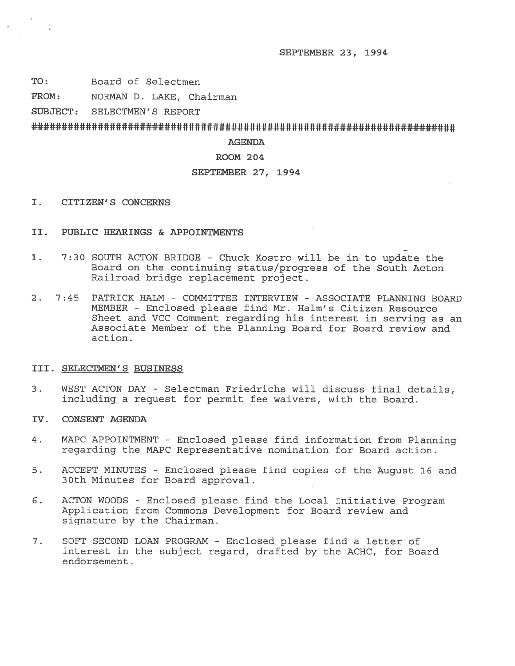SEPTEMBER 23, 1994

- TO: Board of Selectmen
- FROM: NORMAN D. LAKE, Chairman

SUBJECT: SELECTMEN'S REPORT

# 

## AGENDA

# ROOM 204

# SEPTEMBER 27, 1994

- I. CITIZEN'S CONCERNS
- II. PUBLIC HEARINGS & APPOINTMENTS
- 1. 7:30 SOUTH ACTON BRIDGE Chuck Kostro will be in to update the Board on the continuing status/progress of the South Acton Railroad bridge replacement project.
- 2. 7:45 PATRICK HALM COMMITTEE INTERVIEW ASSOCIATE PLANNING BOARD MEMBER - Enclosed please find Mr. Halm's Citizen Resource Sheet and VCC Comment regarding his interest in serving as an Associate Member of the Planning Board for Board review and action.

### III. SELECTMEN'S BUSINESS

- 3. WEST ACTON DAY Selectman Friedrichs will discuss final details, including <sup>a</sup> reques<sup>t</sup> for permit fee waivers, with the Board.
- IV. CONSENT AGENDA
- 4. MAPC APPOINTMENT -Enclosed <sup>p</sup>lease find information from Planning regarding the MAPC Representative nomination for Board action.
- 5. ACCEPT MINUTES Enclosed please find copies of the August 16 and 30th Minutes for Board approval.
- 6. ACTON WOODS Enclosed please find the Local Initiative Program Application from Commons Development for Board review and signature by the Chairman.
- 7. SOFT SECOND LOAN PROGRAM Enclosed please find <sup>a</sup> letter of interest in the subject regard, drafted by the ACHC, for Board endorsement.